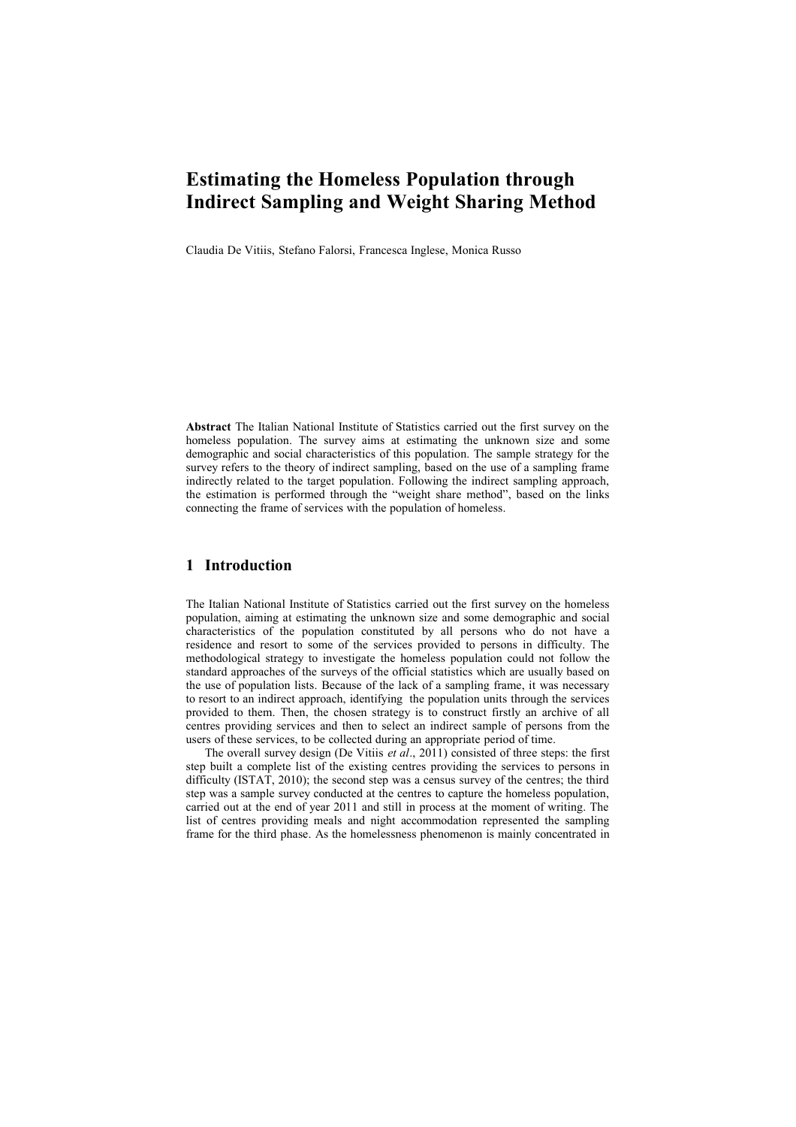# **Estimating the Homeless Population through Indirect Sampling and Weight Sharing Method**

Claudia De Vitiis, Stefano Falorsi, Francesca Inglese, Monica Russo

**Abstract** The Italian National Institute of Statistics carried out the first survey on the homeless population. The survey aims at estimating the unknown size and some demographic and social characteristics of this population. The sample strategy for the survey refers to the theory of indirect sampling, based on the use of a sampling frame indirectly related to the target population. Following the indirect sampling approach, the estimation is performed through the "weight share method", based on the links connecting the frame of services with the population of homeless.

# **1 Introduction**

The Italian National Institute of Statistics carried out the first survey on the homeless population, aiming at estimating the unknown size and some demographic and social characteristics of the population constituted by all persons who do not have a residence and resort to some of the services provided to persons in difficulty. The methodological strategy to investigate the homeless population could not follow the standard approaches of the surveys of the official statistics which are usually based on the use of population lists. Because of the lack of a sampling frame, it was necessary to resort to an indirect approach, identifying the population units through the services provided to them. Then, the chosen strategy is to construct firstly an archive of all centres providing services and then to select an indirect sample of persons from the users of these services, to be collected during an appropriate period of time.

The overall survey design (De Vitiis *et al*., 2011) consisted of three steps: the first step built a complete list of the existing centres providing the services to persons in difficulty (ISTAT, 2010); the second step was a census survey of the centres; the third step was a sample survey conducted at the centres to capture the homeless population, carried out at the end of year 2011 and still in process at the moment of writing. The list of centres providing meals and night accommodation represented the sampling frame for the third phase. As the homelessness phenomenon is mainly concentrated in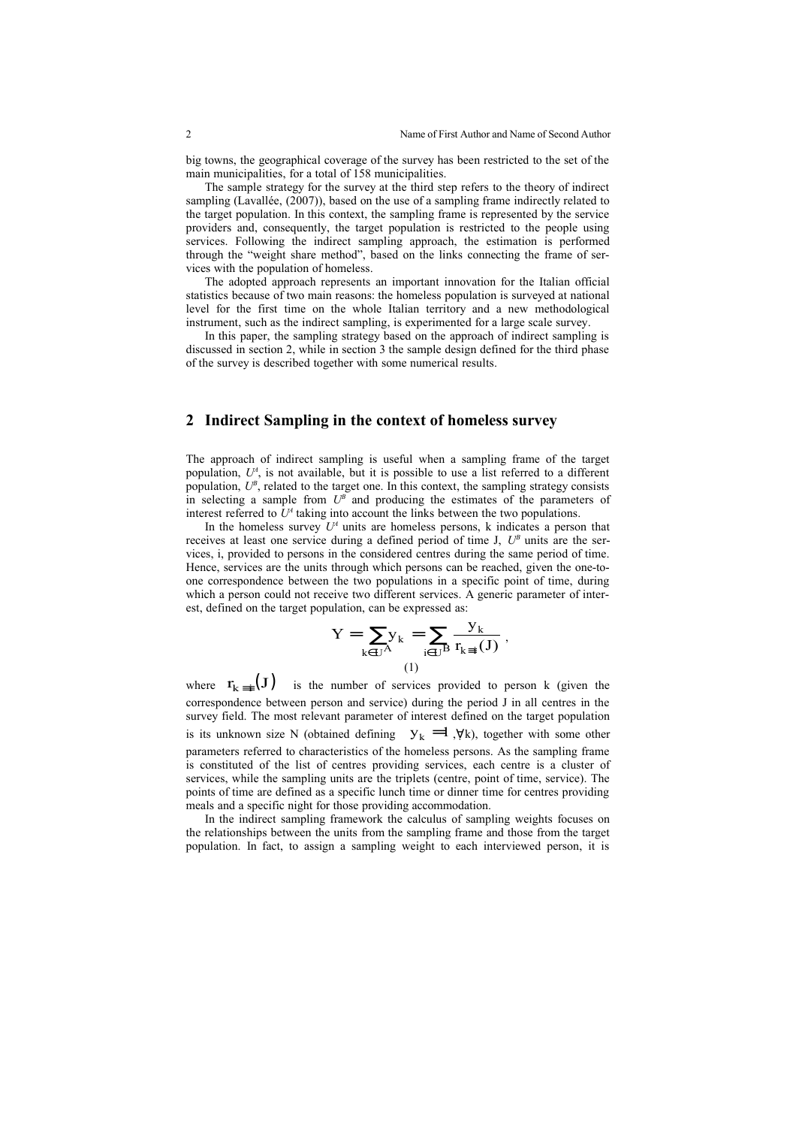big towns, the geographical coverage of the survey has been restricted to the set of the main municipalities, for a total of 158 municipalities.

The sample strategy for the survey at the third step refers to the theory of indirect sampling (Lavallée, (2007)), based on the use of a sampling frame indirectly related to the target population. In this context, the sampling frame is represented by the service providers and, consequently, the target population is restricted to the people using services. Following the indirect sampling approach, the estimation is performed through the "weight share method", based on the links connecting the frame of services with the population of homeless.

The adopted approach represents an important innovation for the Italian official statistics because of two main reasons: the homeless population is surveyed at national level for the first time on the whole Italian territory and a new methodological instrument, such as the indirect sampling, is experimented for a large scale survey.

In this paper, the sampling strategy based on the approach of indirect sampling is discussed in section 2, while in section 3 the sample design defined for the third phase of the survey is described together with some numerical results.

# **2 Indirect Sampling in the context of homeless survey**

The approach of indirect sampling is useful when a sampling frame of the target population,  $U^A$ , is not available, but it is possible to use a list referred to a different population,  $U^{\beta}$ , related to the target one. In this context, the sampling strategy consists in selecting a sample from  $U^B$  and producing the estimates of the parameters of interest referred to  $U^4$  taking into account the links between the two populations.

In the homeless survey  $U^A$  units are homeless persons, k indicates a person that receives at least one service during a defined period of time J,  $U^B$  units are the services, i, provided to persons in the considered centres during the same period of time. Hence, services are the units through which persons can be reached, given the one-toone correspondence between the two populations in a specific point of time, during which a person could not receive two different services. A generic parameter of interest, defined on the target population, can be expressed as:

$$
Y = \sum_{k \in U^A} y_k = \sum_{i \in U^B} \frac{y_k}{r_{k \equiv i}(J)},
$$
  
(1)

where  $r_{k=1}(J)$  is the number of services provided to person k (given the correspondence between person and service) during the period J in all centres in the survey field. The most relevant parameter of interest defined on the target population is its unknown size N (obtained defining  $y_k = 1$ , $\forall k$ ), together with some other parameters referred to characteristics of the homeless persons. As the sampling frame is constituted of the list of centres providing services, each centre is a cluster of services, while the sampling units are the triplets (centre, point of time, service). The points of time are defined as a specific lunch time or dinner time for centres providing meals and a specific night for those providing accommodation.

In the indirect sampling framework the calculus of sampling weights focuses on the relationships between the units from the sampling frame and those from the target population. In fact, to assign a sampling weight to each interviewed person, it is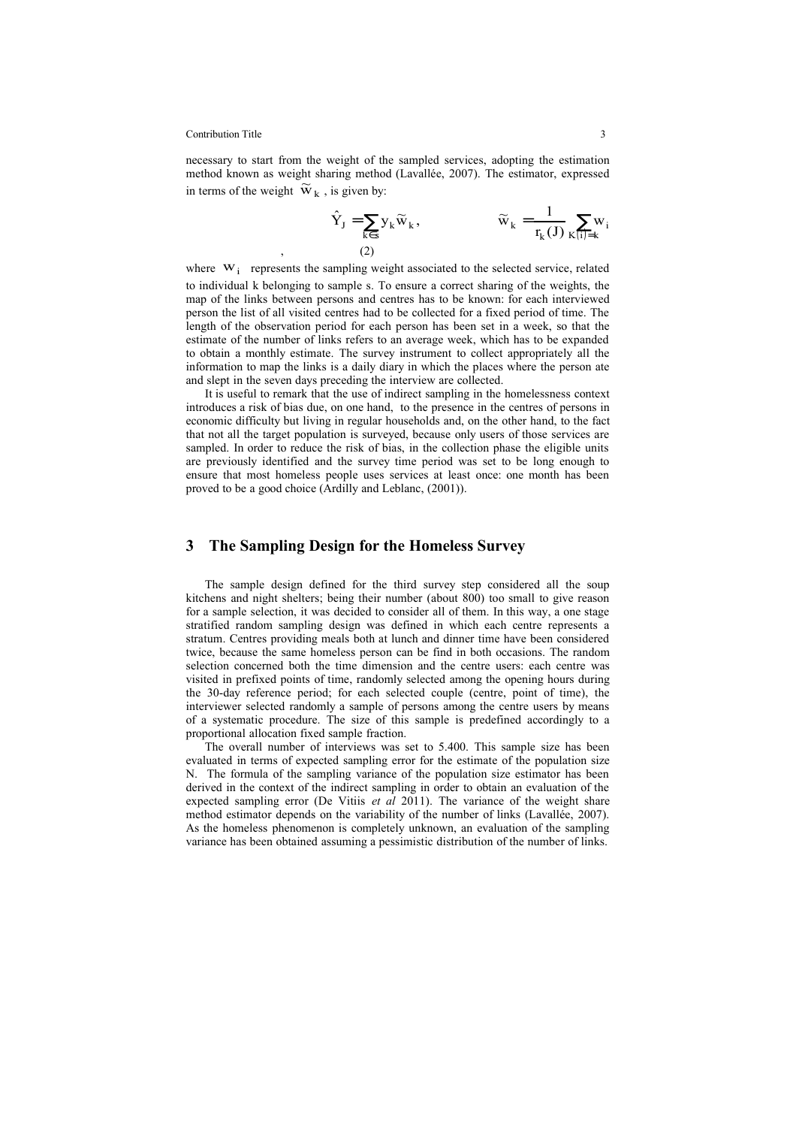#### Contribution Title 3

necessary to start from the weight of the sampled services, adopting the estimation method known as weight sharing method (Lavallée, 2007). The estimator, expressed in terms of the weight  $\widetilde{w}_k$ , is given by:

$$
\hat{Y}_J = \sum_{k \in S} y_k \widetilde{w}_k, \qquad \qquad \widetilde{w}_k = \frac{1}{r_k(J)} \sum_{K(i)=k} w_i
$$
\n
$$
(2)
$$

where  $W_i$  represents the sampling weight associated to the selected service, related to individual k belonging to sample s. To ensure a correct sharing of the weights, the map of the links between persons and centres has to be known: for each interviewed person the list of all visited centres had to be collected for a fixed period of time. The length of the observation period for each person has been set in a week, so that the estimate of the number of links refers to an average week, which has to be expanded to obtain a monthly estimate. The survey instrument to collect appropriately all the information to map the links is a daily diary in which the places where the person ate and slept in the seven days preceding the interview are collected.

It is useful to remark that the use of indirect sampling in the homelessness context introduces a risk of bias due, on one hand, to the presence in the centres of persons in economic difficulty but living in regular households and, on the other hand, to the fact that not all the target population is surveyed, because only users of those services are sampled. In order to reduce the risk of bias, in the collection phase the eligible units are previously identified and the survey time period was set to be long enough to ensure that most homeless people uses services at least once: one month has been proved to be a good choice (Ardilly and Leblanc, (2001)).

## **3 The Sampling Design for the Homeless Survey**

The sample design defined for the third survey step considered all the soup kitchens and night shelters; being their number (about 800) too small to give reason for a sample selection, it was decided to consider all of them. In this way, a one stage stratified random sampling design was defined in which each centre represents a stratum. Centres providing meals both at lunch and dinner time have been considered twice, because the same homeless person can be find in both occasions. The random selection concerned both the time dimension and the centre users: each centre was visited in prefixed points of time, randomly selected among the opening hours during the 30-day reference period; for each selected couple (centre, point of time), the interviewer selected randomly a sample of persons among the centre users by means of a systematic procedure. The size of this sample is predefined accordingly to a proportional allocation fixed sample fraction.

The overall number of interviews was set to 5.400. This sample size has been evaluated in terms of expected sampling error for the estimate of the population size N. The formula of the sampling variance of the population size estimator has been derived in the context of the indirect sampling in order to obtain an evaluation of the expected sampling error (De Vitiis *et al* 2011). The variance of the weight share method estimator depends on the variability of the number of links (Lavallée, 2007). As the homeless phenomenon is completely unknown, an evaluation of the sampling variance has been obtained assuming a pessimistic distribution of the number of links.